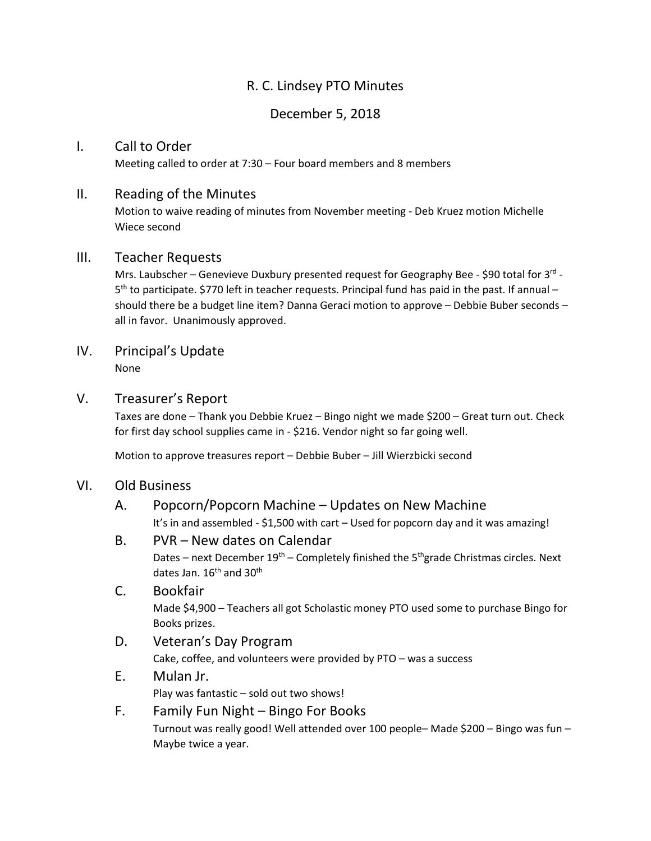# R. C. Lindsey PTO Minutes

### December 5, 2018

#### I. Call to Order

Meeting called to order at 7:30 – Four board members and 8 members

#### II. Reading of the Minutes

Motion to waive reading of minutes from November meeting - Deb Kruez motion Michelle Wiece second

### III. Teacher Requests

Mrs. Laubscher - Genevieve Duxbury presented request for Geography Bee - \$90 total for 3<sup>rd</sup> -5<sup>th</sup> to participate. \$770 left in teacher requests. Principal fund has paid in the past. If annual should there be a budget line item? Danna Geraci motion to approve – Debbie Buber seconds – all in favor. Unanimously approved.

## IV. Principal's Update

None

#### V. Treasurer's Report

Taxes are done – Thank you Debbie Kruez – Bingo night we made \$200 – Great turn out. Check for first day school supplies came in - \$216. Vendor night so far going well.

Motion to approve treasures report – Debbie Buber – Jill Wierzbicki second

### VI. Old Business

# A. Popcorn/Popcorn Machine – Updates on New Machine

It's in and assembled - \$1,500 with cart – Used for popcorn day and it was amazing!

#### B. PVR – New dates on Calendar

Dates – next December  $19<sup>th</sup>$  – Completely finished the 5<sup>th</sup>grade Christmas circles. Next dates Jan.  $16<sup>th</sup>$  and  $30<sup>th</sup>$ 

### C. Bookfair Made \$4,900 – Teachers all got Scholastic money PTO used some to purchase Bingo for Books prizes.

- D. Veteran's Day Program Cake, coffee, and volunteers were provided by PTO – was a success
- E. Mulan Jr. Play was fantastic – sold out two shows!

### F. Family Fun Night – Bingo For Books Turnout was really good! Well attended over 100 people– Made \$200 – Bingo was fun – Maybe twice a year.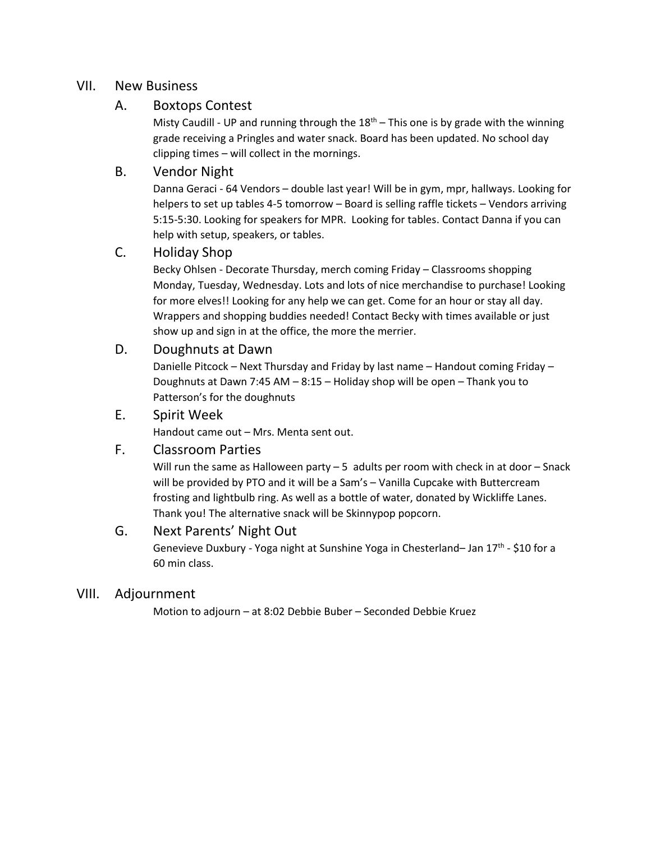#### VII. New Business

#### A. Boxtops Contest

Misty Caudill - UP and running through the  $18<sup>th</sup>$  – This one is by grade with the winning grade receiving a Pringles and water snack. Board has been updated. No school day clipping times – will collect in the mornings.

#### B. Vendor Night

Danna Geraci - 64 Vendors – double last year! Will be in gym, mpr, hallways. Looking for helpers to set up tables 4-5 tomorrow – Board is selling raffle tickets – Vendors arriving 5:15-5:30. Looking for speakers for MPR. Looking for tables. Contact Danna if you can help with setup, speakers, or tables.

### C. Holiday Shop

Becky Ohlsen - Decorate Thursday, merch coming Friday – Classrooms shopping Monday, Tuesday, Wednesday. Lots and lots of nice merchandise to purchase! Looking for more elves!! Looking for any help we can get. Come for an hour or stay all day. Wrappers and shopping buddies needed! Contact Becky with times available or just show up and sign in at the office, the more the merrier.

#### D. Doughnuts at Dawn

Danielle Pitcock – Next Thursday and Friday by last name – Handout coming Friday – Doughnuts at Dawn 7:45 AM – 8:15 – Holiday shop will be open – Thank you to Patterson's for the doughnuts

#### E. Spirit Week

Handout came out – Mrs. Menta sent out.

#### F. Classroom Parties

Will run the same as Halloween party  $-5$  adults per room with check in at door  $-$  Snack will be provided by PTO and it will be a Sam's – Vanilla Cupcake with Buttercream frosting and lightbulb ring. As well as a bottle of water, donated by Wickliffe Lanes. Thank you! The alternative snack will be Skinnypop popcorn.

#### G. Next Parents' Night Out

Genevieve Duxbury - Yoga night at Sunshine Yoga in Chesterland– Jan 17<sup>th</sup> - \$10 for a 60 min class.

#### VIII. Adjournment

Motion to adjourn – at 8:02 Debbie Buber – Seconded Debbie Kruez